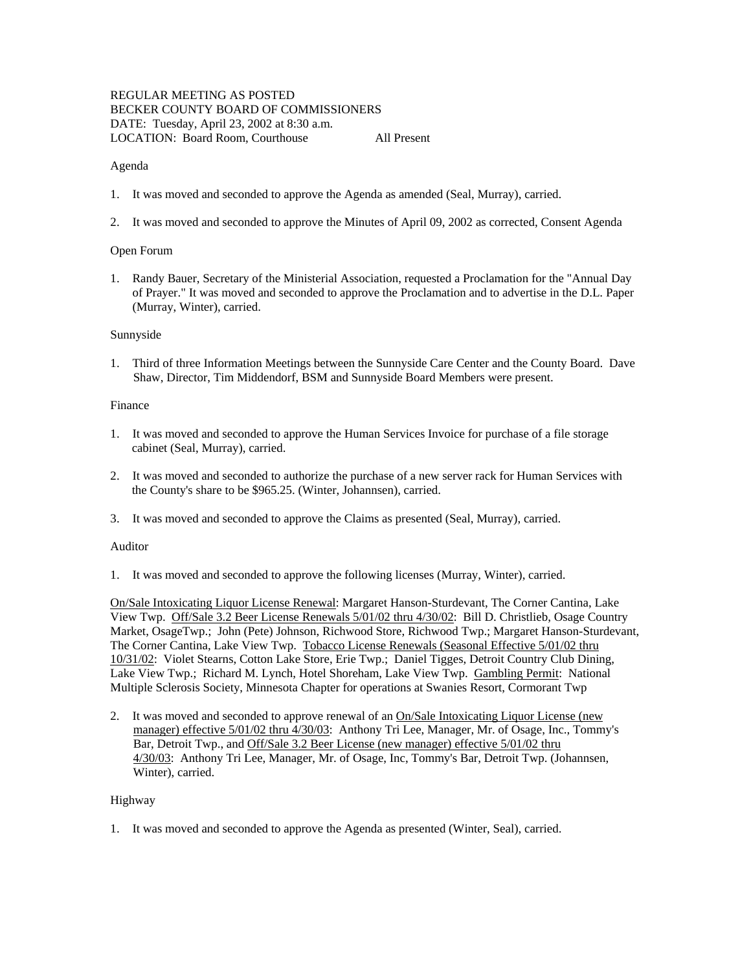# REGULAR MEETING AS POSTED BECKER COUNTY BOARD OF COMMISSIONERS DATE: Tuesday, April 23, 2002 at 8:30 a.m. LOCATION: Board Room, Courthouse All Present

## Agenda

- 1. It was moved and seconded to approve the Agenda as amended (Seal, Murray), carried.
- 2. It was moved and seconded to approve the Minutes of April 09, 2002 as corrected, Consent Agenda

## Open Forum

1. Randy Bauer, Secretary of the Ministerial Association, requested a Proclamation for the "Annual Day of Prayer." It was moved and seconded to approve the Proclamation and to advertise in the D.L. Paper (Murray, Winter), carried.

## Sunnyside

1. Third of three Information Meetings between the Sunnyside Care Center and the County Board. Dave Shaw, Director, Tim Middendorf, BSM and Sunnyside Board Members were present.

## Finance

- 1. It was moved and seconded to approve the Human Services Invoice for purchase of a file storage cabinet (Seal, Murray), carried.
- 2. It was moved and seconded to authorize the purchase of a new server rack for Human Services with the County's share to be \$965.25. (Winter, Johannsen), carried.
- 3. It was moved and seconded to approve the Claims as presented (Seal, Murray), carried.

## Auditor

1. It was moved and seconded to approve the following licenses (Murray, Winter), carried.

On/Sale Intoxicating Liquor License Renewal: Margaret Hanson-Sturdevant, The Corner Cantina, Lake View Twp. Off/Sale 3.2 Beer License Renewals 5/01/02 thru 4/30/02: Bill D. Christlieb, Osage Country Market, OsageTwp.; John (Pete) Johnson, Richwood Store, Richwood Twp.; Margaret Hanson-Sturdevant, The Corner Cantina, Lake View Twp. Tobacco License Renewals (Seasonal Effective 5/01/02 thru 10/31/02: Violet Stearns, Cotton Lake Store, Erie Twp.; Daniel Tigges, Detroit Country Club Dining, Lake View Twp.; Richard M. Lynch, Hotel Shoreham, Lake View Twp. Gambling Permit: National Multiple Sclerosis Society, Minnesota Chapter for operations at Swanies Resort, Cormorant Twp

2. It was moved and seconded to approve renewal of an On/Sale Intoxicating Liquor License (new manager) effective 5/01/02 thru 4/30/03: Anthony Tri Lee, Manager, Mr. of Osage, Inc., Tommy's Bar, Detroit Twp., and Off/Sale 3.2 Beer License (new manager) effective 5/01/02 thru 4/30/03: Anthony Tri Lee, Manager, Mr. of Osage, Inc, Tommy's Bar, Detroit Twp. (Johannsen, Winter), carried.

# Highway

1. It was moved and seconded to approve the Agenda as presented (Winter, Seal), carried.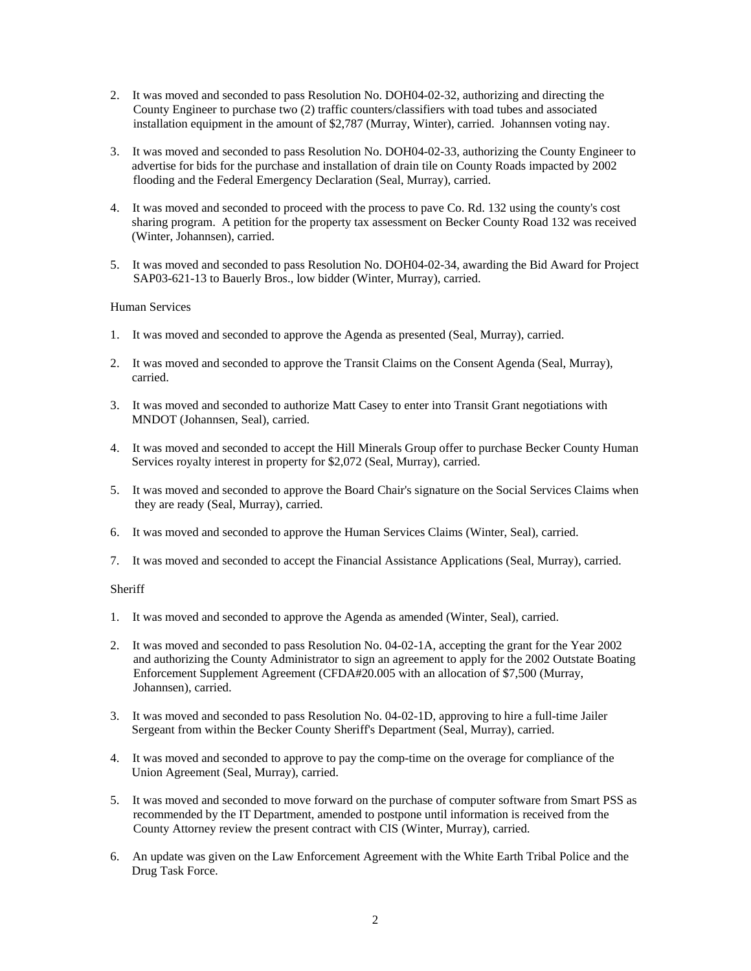- 2. It was moved and seconded to pass Resolution No. DOH04-02-32, authorizing and directing the County Engineer to purchase two (2) traffic counters/classifiers with toad tubes and associated installation equipment in the amount of \$2,787 (Murray, Winter), carried. Johannsen voting nay.
- 3. It was moved and seconded to pass Resolution No. DOH04-02-33, authorizing the County Engineer to advertise for bids for the purchase and installation of drain tile on County Roads impacted by 2002 flooding and the Federal Emergency Declaration (Seal, Murray), carried.
- 4. It was moved and seconded to proceed with the process to pave Co. Rd. 132 using the county's cost sharing program. A petition for the property tax assessment on Becker County Road 132 was received (Winter, Johannsen), carried.
- 5. It was moved and seconded to pass Resolution No. DOH04-02-34, awarding the Bid Award for Project SAP03-621-13 to Bauerly Bros., low bidder (Winter, Murray), carried.

## Human Services

- 1. It was moved and seconded to approve the Agenda as presented (Seal, Murray), carried.
- 2. It was moved and seconded to approve the Transit Claims on the Consent Agenda (Seal, Murray), carried.
- 3. It was moved and seconded to authorize Matt Casey to enter into Transit Grant negotiations with MNDOT (Johannsen, Seal), carried.
- 4. It was moved and seconded to accept the Hill Minerals Group offer to purchase Becker County Human Services royalty interest in property for \$2,072 (Seal, Murray), carried.
- 5. It was moved and seconded to approve the Board Chair's signature on the Social Services Claims when they are ready (Seal, Murray), carried.
- 6. It was moved and seconded to approve the Human Services Claims (Winter, Seal), carried.
- 7. It was moved and seconded to accept the Financial Assistance Applications (Seal, Murray), carried.

## **Sheriff**

- 1. It was moved and seconded to approve the Agenda as amended (Winter, Seal), carried.
- 2. It was moved and seconded to pass Resolution No. 04-02-1A, accepting the grant for the Year 2002 and authorizing the County Administrator to sign an agreement to apply for the 2002 Outstate Boating Enforcement Supplement Agreement (CFDA#20.005 with an allocation of \$7,500 (Murray, Johannsen), carried.
- 3. It was moved and seconded to pass Resolution No. 04-02-1D, approving to hire a full-time Jailer Sergeant from within the Becker County Sheriff's Department (Seal, Murray), carried.
- 4. It was moved and seconded to approve to pay the comp-time on the overage for compliance of the Union Agreement (Seal, Murray), carried.
- 5. It was moved and seconded to move forward on the purchase of computer software from Smart PSS as recommended by the IT Department, amended to postpone until information is received from the County Attorney review the present contract with CIS (Winter, Murray), carried.
- 6. An update was given on the Law Enforcement Agreement with the White Earth Tribal Police and the Drug Task Force.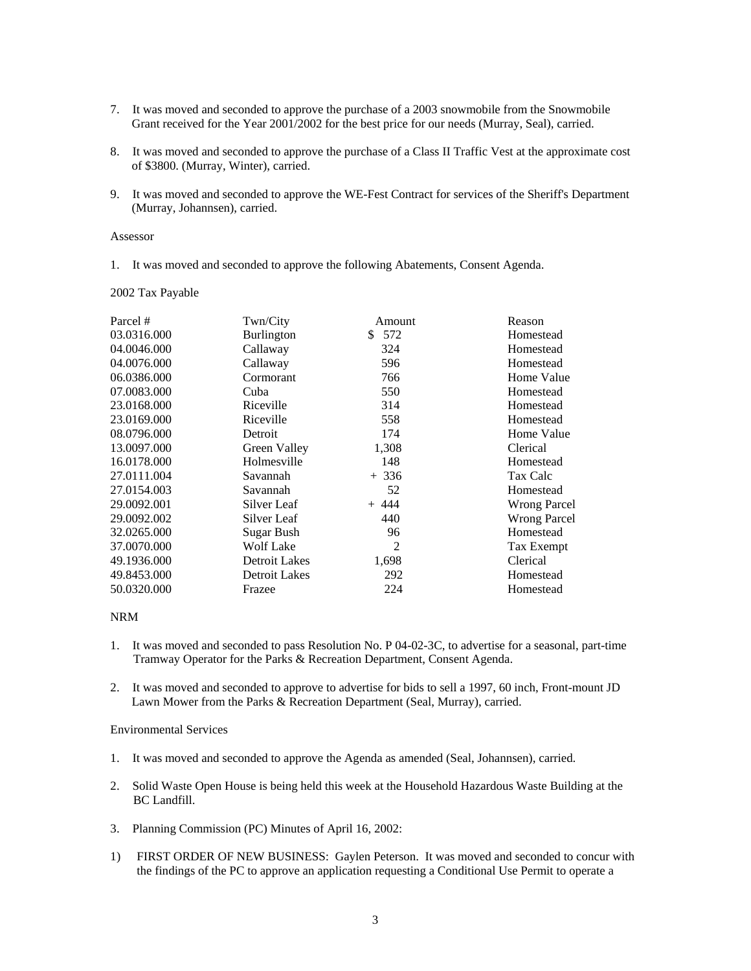- 7. It was moved and seconded to approve the purchase of a 2003 snowmobile from the Snowmobile Grant received for the Year 2001/2002 for the best price for our needs (Murray, Seal), carried.
- 8. It was moved and seconded to approve the purchase of a Class II Traffic Vest at the approximate cost of \$3800. (Murray, Winter), carried.
- 9. It was moved and seconded to approve the WE-Fest Contract for services of the Sheriff's Department (Murray, Johannsen), carried.

#### Assessor

1. It was moved and seconded to approve the following Abatements, Consent Agenda.

#### 2002 Tax Payable

| Parcel #    | Twn/City          | Amount    | Reason              |
|-------------|-------------------|-----------|---------------------|
| 03.0316.000 | Burlington        | 572<br>S. | Homestead           |
| 04.0046.000 | Callaway          | 324       | Homestead           |
| 04.0076.000 | Callaway          | 596       | Homestead           |
| 06.0386.000 | Cormorant         | 766       | Home Value          |
| 07.0083.000 | Cuba              | 550       | Homestead           |
| 23.0168.000 | Riceville         | 314       | Homestead           |
| 23.0169.000 | Riceville         | 558       | Homestead           |
| 08.0796.000 | Detroit           | 174       | Home Value          |
| 13.0097.000 | Green Valley      | 1,308     | Clerical            |
| 16.0178.000 | Holmesville       | 148       | Homestead           |
| 27.0111.004 | Savannah          | $+336$    | Tax Calc            |
| 27.0154.003 | Savannah          | 52        | Homestead           |
| 29.0092.001 | Silver Leaf       | $+ 444$   | <b>Wrong Parcel</b> |
| 29.0092.002 | Silver Leaf       | 440       | <b>Wrong Parcel</b> |
| 32.0265.000 | <b>Sugar Bush</b> | 96        | Homestead           |
| 37.0070.000 | Wolf Lake         | 2         | Tax Exempt          |
| 49.1936.000 | Detroit Lakes     | 1,698     | Clerical            |
| 49.8453.000 | Detroit Lakes     | 292       | Homestead           |
| 50.0320.000 | Frazee            | 224       | Homestead           |

## NRM

- 1. It was moved and seconded to pass Resolution No. P 04-02-3C, to advertise for a seasonal, part-time Tramway Operator for the Parks & Recreation Department, Consent Agenda.
- 2. It was moved and seconded to approve to advertise for bids to sell a 1997, 60 inch, Front-mount JD Lawn Mower from the Parks & Recreation Department (Seal, Murray), carried.

#### Environmental Services

- 1. It was moved and seconded to approve the Agenda as amended (Seal, Johannsen), carried.
- 2. Solid Waste Open House is being held this week at the Household Hazardous Waste Building at the BC Landfill.
- 3. Planning Commission (PC) Minutes of April 16, 2002:
- 1) FIRST ORDER OF NEW BUSINESS: Gaylen Peterson. It was moved and seconded to concur with the findings of the PC to approve an application requesting a Conditional Use Permit to operate a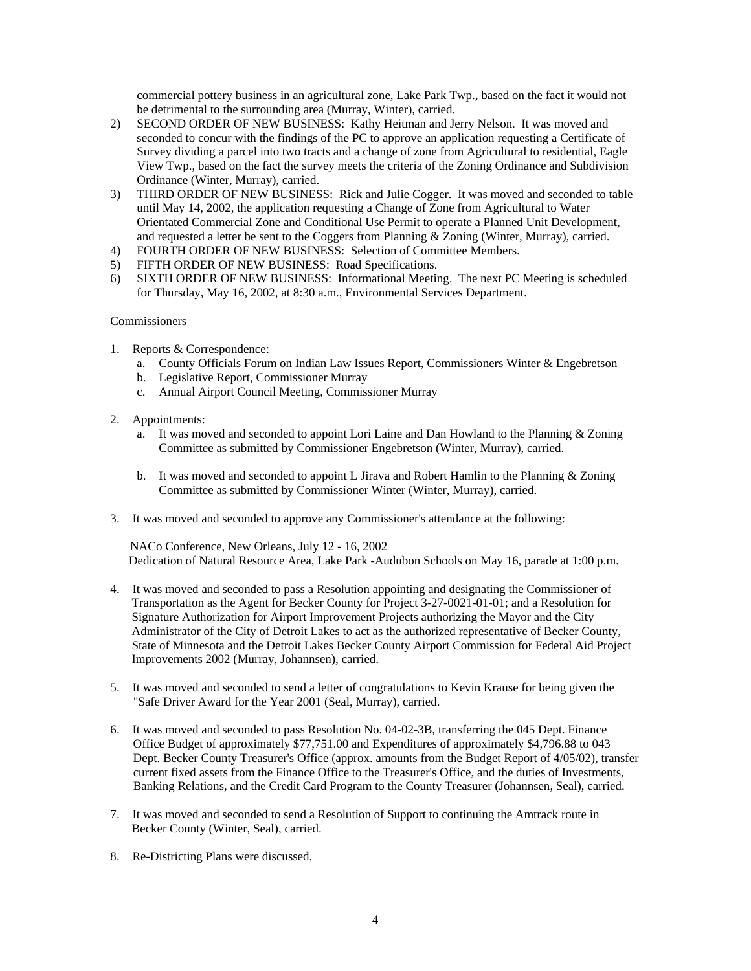commercial pottery business in an agricultural zone, Lake Park Twp., based on the fact it would not be detrimental to the surrounding area (Murray, Winter), carried.

- 2) SECOND ORDER OF NEW BUSINESS: Kathy Heitman and Jerry Nelson. It was moved and seconded to concur with the findings of the PC to approve an application requesting a Certificate of Survey dividing a parcel into two tracts and a change of zone from Agricultural to residential, Eagle View Twp., based on the fact the survey meets the criteria of the Zoning Ordinance and Subdivision Ordinance (Winter, Murray), carried.
- 3) THIRD ORDER OF NEW BUSINESS: Rick and Julie Cogger. It was moved and seconded to table until May 14, 2002, the application requesting a Change of Zone from Agricultural to Water Orientated Commercial Zone and Conditional Use Permit to operate a Planned Unit Development, and requested a letter be sent to the Coggers from Planning  $&$  Zoning (Winter, Murray), carried.
- 4) FOURTH ORDER OF NEW BUSINESS: Selection of Committee Members.<br>5) FIFTH ORDER OF NEW BUSINESS: Road Specifications.
- 5) FIFTH ORDER OF NEW BUSINESS: Road Specifications.
- 6) SIXTH ORDER OF NEW BUSINESS: Informational Meeting. The next PC Meeting is scheduled for Thursday, May 16, 2002, at 8:30 a.m., Environmental Services Department.

# Commissioners

- 1. Reports & Correspondence:
	- a. County Officials Forum on Indian Law Issues Report, Commissioners Winter & Engebretson
	- b. Legislative Report, Commissioner Murray
	- c. Annual Airport Council Meeting, Commissioner Murray
- 2. Appointments:
	- a. It was moved and seconded to appoint Lori Laine and Dan Howland to the Planning & Zoning Committee as submitted by Commissioner Engebretson (Winter, Murray), carried.
	- b. It was moved and seconded to appoint L Jirava and Robert Hamlin to the Planning & Zoning Committee as submitted by Commissioner Winter (Winter, Murray), carried.
- 3. It was moved and seconded to approve any Commissioner's attendance at the following:

 NACo Conference, New Orleans, July 12 - 16, 2002 Dedication of Natural Resource Area, Lake Park -Audubon Schools on May 16, parade at 1:00 p.m.

- 4. It was moved and seconded to pass a Resolution appointing and designating the Commissioner of Transportation as the Agent for Becker County for Project 3-27-0021-01-01; and a Resolution for Signature Authorization for Airport Improvement Projects authorizing the Mayor and the City Administrator of the City of Detroit Lakes to act as the authorized representative of Becker County, State of Minnesota and the Detroit Lakes Becker County Airport Commission for Federal Aid Project Improvements 2002 (Murray, Johannsen), carried.
- 5. It was moved and seconded to send a letter of congratulations to Kevin Krause for being given the "Safe Driver Award for the Year 2001 (Seal, Murray), carried.
- 6. It was moved and seconded to pass Resolution No. 04-02-3B, transferring the 045 Dept. Finance Office Budget of approximately \$77,751.00 and Expenditures of approximately \$4,796.88 to 043 Dept. Becker County Treasurer's Office (approx. amounts from the Budget Report of 4/05/02), transfer current fixed assets from the Finance Office to the Treasurer's Office, and the duties of Investments, Banking Relations, and the Credit Card Program to the County Treasurer (Johannsen, Seal), carried.
- 7. It was moved and seconded to send a Resolution of Support to continuing the Amtrack route in Becker County (Winter, Seal), carried.
- 8. Re-Districting Plans were discussed.